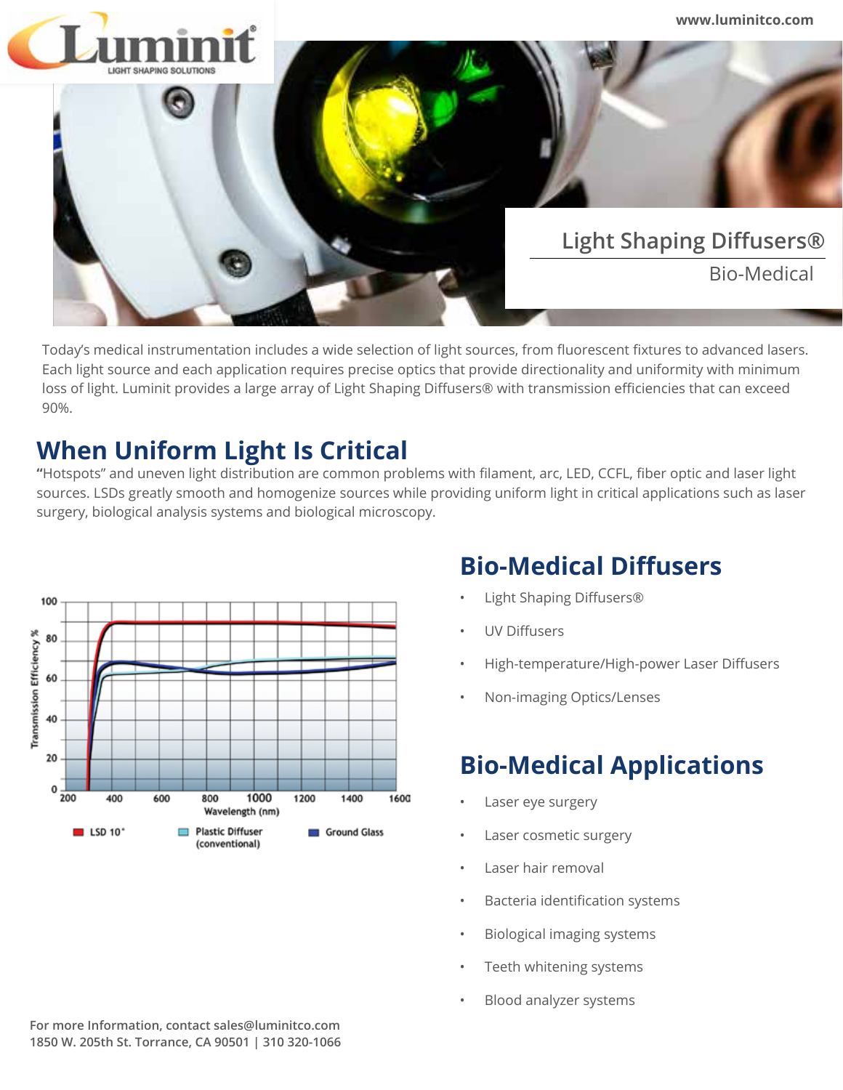

Today's medical instrumentation includes a wide selection of light sources, from fluorescent fixtures to advanced lasers. Each light source and each application requires precise optics that provide directionality and uniformity with minimum loss of light. Luminit provides a large array of Light Shaping Diffusers® with transmission efficiencies that can exceed 90%.

## **When Uniform Light Is Critical**

**"**Hotspots" and uneven light distribution are common problems with filament, arc, LED, CCFL, fiber optic and laser light sources. LSDs greatly smooth and homogenize sources while providing uniform light in critical applications such as laser surgery, biological analysis systems and biological microscopy.



## **Bio-Medical Diffusers**

- Light Shaping Diffusers®
- UV Diffusers
- High-temperature/High-power Laser Diffusers
- Non-imaging Optics/Lenses

## **Bio-Medical Applications**

- Laser eye surgery
- Laser cosmetic surgery
- Laser hair removal
- Bacteria identification systems
- Biological imaging systems
- Teeth whitening systems
- Blood analyzer systems